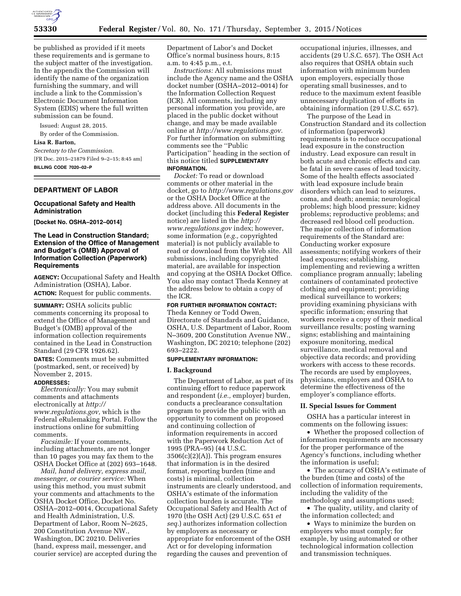

be published as provided if it meets these requirements and is germane to the subject matter of the investigation. In the appendix the Commission will identify the name of the organization furnishing the summary, and will include a link to the Commission's Electronic Document Information System (EDIS) where the full written submission can be found.

Issued: August 28, 2015. By order of the Commission.

# **Lisa R. Barton,**

*Secretary to the Commission.*  [FR Doc. 2015–21879 Filed 9–2–15; 8:45 am]

**BILLING CODE 7020–02–P** 

### **DEPARTMENT OF LABOR**

## **Occupational Safety and Health Administration**

**[Docket No. OSHA–2012–0014]** 

# **The Lead in Construction Standard; Extension of the Office of Management and Budget's (OMB) Approval of Information Collection (Paperwork) Requirements**

**AGENCY:** Occupational Safety and Health Administration (OSHA), Labor. **ACTION:** Request for public comments.

**SUMMARY:** OSHA solicits public comments concerning its proposal to extend the Office of Management and Budget's (OMB) approval of the information collection requirements contained in the Lead in Construction Standard (29 CFR 1926.62). **DATES:** Comments must be submitted

(postmarked, sent, or received) by November 2, 2015.

# **ADDRESSES:**

*Electronically:* You may submit comments and attachments electronically at *[http://](http://www.regulations.gov) [www.regulations.gov,](http://www.regulations.gov)* which is the Federal eRulemaking Portal. Follow the instructions online for submitting comments.

*Facsimile:* If your comments, including attachments, are not longer than 10 pages you may fax them to the OSHA Docket Office at (202) 693–1648.

*Mail, hand delivery, express mail, messenger, or courier service:* When using this method, you must submit your comments and attachments to the OSHA Docket Office, Docket No. OSHA–2012–0014, Occupational Safety and Health Administration, U.S. Department of Labor, Room N–2625, 200 Constitution Avenue NW., Washington, DC 20210. Deliveries (hand, express mail, messenger, and courier service) are accepted during the

Department of Labor's and Docket Office's normal business hours, 8:15 a.m. to 4:45 p.m., e.t.

*Instructions:* All submissions must include the Agency name and the OSHA docket number (OSHA–2012–0014) for the Information Collection Request (ICR). All comments, including any personal information you provide, are placed in the public docket without change, and may be made available online at *[http://www.regulations.gov.](http://www.regulations.gov)*  For further information on submitting comments see the ''Public Participation'' heading in the section of this notice titled **SUPPLEMENTARY INFORMATION.** 

*Docket:* To read or download comments or other material in the docket, go to *<http://www.regulations.gov>*  or the OSHA Docket Office at the address above. All documents in the docket (including this **Federal Register**  notice) are listed in the *[http://](http://www.regulations.gov) [www.regulations.gov](http://www.regulations.gov)* index; however, some information (*e.g.,* copyrighted material) is not publicly available to read or download from the Web site. All submissions, including copyrighted material, are available for inspection and copying at the OSHA Docket Office. You also may contact Theda Kenney at the address below to obtain a copy of the ICR.

**FOR FURTHER INFORMATION CONTACT:**  Theda Kenney or Todd Owen, Directorate of Standards and Guidance, OSHA, U.S. Department of Labor, Room N–3609, 200 Constitution Avenue NW., Washington, DC 20210; telephone (202) 693–2222.

### **SUPPLEMENTARY INFORMATION:**

#### **I. Background**

The Department of Labor, as part of its continuing effort to reduce paperwork and respondent (*i.e.,* employer) burden, conducts a preclearance consultation program to provide the public with an opportunity to comment on proposed and continuing collection of information requirements in accord with the Paperwork Reduction Act of 1995 (PRA–95) (44 U.S.C.  $3506(c)(2)(A)$ . This program ensures that information is in the desired format, reporting burden (time and costs) is minimal, collection instruments are clearly understood, and OSHA's estimate of the information collection burden is accurate. The Occupational Safety and Health Act of 1970 (the OSH Act) (29 U.S.C. 651 *et seq.*) authorizes information collection by employers as necessary or appropriate for enforcement of the OSH Act or for developing information regarding the causes and prevention of

occupational injuries, illnesses, and accidents (29 U.S.C. 657). The OSH Act also requires that OSHA obtain such information with minimum burden upon employers, especially those operating small businesses, and to reduce to the maximum extent feasible unnecessary duplication of efforts in obtaining information (29 U.S.C. 657).

The purpose of the Lead in Construction Standard and its collection of information (paperwork) requirements is to reduce occupational lead exposure in the construction industry. Lead exposure can result in both acute and chronic effects and can be fatal in severe cases of lead toxicity. Some of the health effects associated with lead exposure include brain disorders which can lead to seizures, coma, and death; anemia; neurological problems; high blood pressure; kidney problems; reproductive problems; and decreased red blood cell production. The major collection of information requirements of the Standard are: Conducting worker exposure assessments; notifying workers of their lead exposures; establishing, implementing and reviewing a written compliance program annually; labeling containers of contaminated protective clothing and equipment; providing medical surveillance to workers; providing examining physicians with specific information; ensuring that workers receive a copy of their medical surveillance results; posting warning signs; establishing and maintaining exposure monitoring, medical surveillance, medical removal and objective data records; and providing workers with access to these records. The records are used by employees, physicians, employers and OSHA to determine the effectiveness of the employer's compliance efforts.

# **II. Special Issues for Comment**

OSHA has a particular interest in comments on the following issues:

• Whether the proposed collection of information requirements are necessary for the proper performance of the Agency's functions, including whether the information is useful;

• The accuracy of OSHA's estimate of the burden (time and costs) of the collection of information requirements, including the validity of the methodology and assumptions used;

• The quality, utility, and clarity of the information collected; and

• Ways to minimize the burden on employers who must comply; for example, by using automated or other technological information collection and transmission techniques.